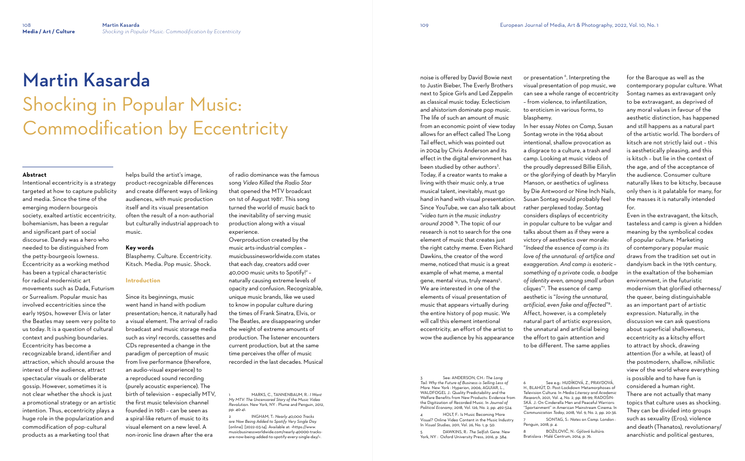# Martin Kasarda Shocking in Popular Music: Commodification by Eccentricity

### **Abstract**

Intentional eccentricity is a strategy targeted at how to capture publicity and media. Since the time of the emerging modern bourgeois society, exalted artistic eccentricity, bohemianism, has been a regular and significant part of social discourse. Dandy was a hero who needed to be distinguished from the petty-bourgeois lowness. Eccentricity as a working method has been a typical characteristic for radical modernistic art movements such as Dada, Futurism or Surrealism. Popular music has involved eccentricities since the early 1950s, however Elvis or later the Beatles may seem very polite to us today. It is a question of cultural context and pushing boundaries. Eccentricity has become a recognizable brand, identifier and attraction, which should arouse the interest of the audience, attract spectacular visuals or deliberate gossip. However, sometimes it is not clear whether the shock is just a promotional strategy or an artistic intention. Thus, eccentricity plays a huge role in the popularization and commodification of pop-cultural products as a marketing tool that

helps build the artist's image, product-recognizable differences and create different ways of linking audiences, with music production itself and its visual presentation often the result of a non-authorial but culturally industrial approach to music.

#### **Key words**

Blasphemy. Culture. Eccentricity. Kitsch. Media. Pop music. Shock.

#### **Introduction**

Since its beginnings, music went hand in hand with podium presentation; hence, it naturally had a visual element. The arrival of radio broadcast and music storage media such as vinyl records, cassettes and CDs represented a change in the paradigm of perception of music from live performance (therefore, an audio-visual experience) to a reproduced sound recording (purely acoustic experience). The birth of television – especially MTV, the first music television channel founded in 1981 – can be seen as a spiral-like return of music to its visual element on a new level. A non-ironic line drawn after the era

of radio dominance was the famous song *Video Killed the Radio Star* that opened the MTV broadcast on 1st of August 1981<sup>,</sup> This song turned the world of music back to the inevitability of serving music production along with a visual experience.

Overproduction created by the music arts-industrial complex – musicbussinesworldwide.com states that each day, creators add over 40,000 music units to Spotify!<sup>2</sup> naturally causing extreme levels of opacity and confusion. Recognizable, unique music brands, like we used to know in popular culture during the times of Frank Sinatra, Elvis, or The Beatles, are disappearing under the weight of extreme amounts of production. The listener encounters current production, but at the same time perceives the offer of music recorded in the last decades. Musical

1 MARKS, C., TANNENBAUM, R.: *I Want My MTV: The Uncensored Story of the Music Video Revolution*. New York, NY : Plume and Penguin, 2012, pp. 40-41.

or presentation <sup>6</sup>. Interpreting the visual presentation of pop music, we can see a whole range of eccentricity – from violence, to infantilization, to eroticism in various forms, to blasphemy. In her essay *Notes on Camp*, Susan Sontag wrote in the 1964 about intentional, shallow provocation as a disgrace to a culture, a trash and camp. Looking at music videos of the proudly depressed Billie Eilish, or the glorifying of death by Marylin Manson, or aesthetics of ugliness by Die Antwoord or Nine Inch Nails, Susan Sontag would probably feel rather perplexed today. Sontag considers displays of eccentricity in popular culture to be vulgar and talks about them as if they were a victory of aesthetics over morale: "*Indeed the essence of camp is its love of the unnatural: of artifice and exaggeration. And camp is esoteric – something of a private code, a badge of identity even, among small urban cliques*" 7 . The essence of camp aesthetic is "*loving the unnatural, artificial, even fake and affected*" 8 . Affect, however, is a completely natural part of artistic expression, the unnatural and artificial being the effort to gain attention and to be different. The same applies

2 INGHAM, T.: *Nearly 40,000 Tracks are Now Being Added to Spotify Very Single Day.* [online]. [2022-03-14]. Available at: <https://www. musicbusinessworldwide.com/nearly-40000-tracksare-now-being-added-to-spotify-every-single-day/>.

noise is offered by David Bowie next to Justin Bieber, The Everly Brothers next to Spice Girls and Led Zeppelin as classical music today. Eclecticism and ahistorism dominate pop music. The life of such an amount of music from an economic point of view today allows for an effect called The Long Tail effect, which was pointed out in 2004 by Chris Anderson and its effect in the digital environment has been studied by other authors<sup>3</sup>. Today, if a creator wants to make a living with their music only, a true musical talent, inevitably, must go hand in hand with visual presentation. Since YouTube, we can also talk about "*video turn in the music industry around 2008* " 4 . The topic of our research is not to search for the one element of music that creates just the right catchy meme. Even Richard Dawkins, the creator of the word meme, noticed that music is a great example of what meme, a mental gene, mental virus, truly means<sup>5</sup>. We are interested in one of the elements of visual presentation of music that appears virtually during the entire history of pop music. We will call this element intentional eccentricity, an effort of the artist to wow the audience by his appearance

3 See: ANDERSON, CH.: *The Long Tail: Why the Future of Business is Selling Less of More.* New York : Hyperion, 2006; AGUIAR, L., WALDFOGEL J.: Quality Predictability and the Welfare Benefits from New Products: Evidence from the Digitization of Recorded Music. In *Journal of Political Economy*, 2018, Vol. 126, No. 2, pp. 492-524.

4 HOLT, F.: Is Music Becoming More Visual? Online Video Content in the Music Industry. In *Visual Studies*, 2011, Vol. 26, No. 1, p. 50.

5 DAWKINS, R.: *The Selfish Gene*. New York, NY : Oxford University Press, 2016, p. 384.

Penguin, 2018, p. 4.

for the Baroque as well as the contemporary popular culture. What Sontag names as extravagant only to be extravagant, as deprived of any moral values in favour of the aesthetic distinction, has happened and still happens as a natural part of the artistic world. The borders of kitsch are not strictly laid out – this is aesthetically pleasing, and this is kitsch – but lie in the context of the age, and of the acceptance of the audience. Consumer culture naturally likes to be kitschy, because only then is it palatable for many, for the masses it is naturally intended for.

Even in the extravagant, the kitsch, tasteless and camp is given a hidden meaning by the symbolical codex of popular culture. Marketing of contemporary popular music draws from the tradition set out in dandyism back in the 19th century, in the exaltation of the bohemian environment, in the futuristic modernism that glorified otherness/ the queer, being distinguishable as an important part of artistic expression. Naturally, in the discussion we can ask questions about superficial shallowness, eccentricity as a kitschy effort to attract by shock, drawing attention (for a while, at least) of the postmodern, shallow, nihilistic view of the world where everything is possible and to have fun is considered a human right. There are not actually that many topics that culture uses as shocking. They can be divided into groups such as sexuality (Eros), violence and death (Thanatos), revolutionary/ anarchistic and political gestures,

<sup>6</sup> See e.g.: HUDÍKOVÁ, Z., PRAVDOVÁ, H., BLAHÚT, D.: Post-Lockdown Metamorphoses of Television Culture. In *Media Literacy and Academic Research*, 2021, Vol. 4, No. 2, pp. 88-99; RADOŠIN-SKÁ. J.: On Cinderella Men and Peaceful Warriors: "Sportainment" in American Mainstream Cinema. In *Communication Today*, 2018, Vol. 9, No. 2, pp. 20-36. 7 SONTAG, S.: *Notes on Camp*. London :

<sup>8</sup> BOŽILOVIČ, N.: *Gýčová kultúra.*  Bratislava : Malé Centrum, 2014, p. 76.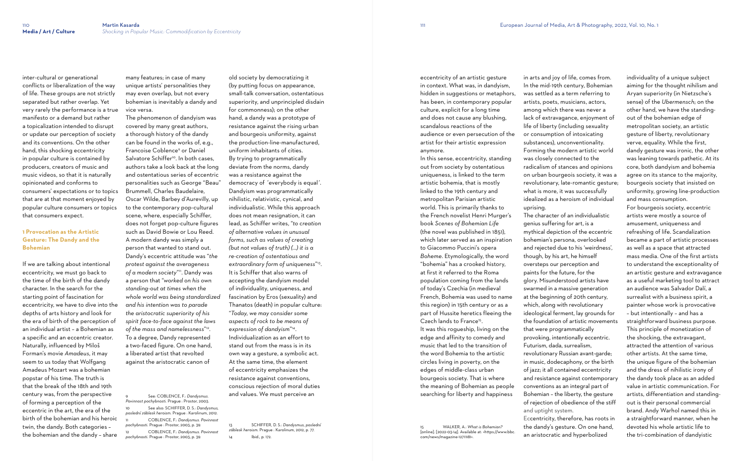inter-cultural or generational conflicts or liberalization of the way of life. These groups are not strictly separated but rather overlap. Yet very rarely the performance is a true manifesto or a demand but rather a topicalization intended to disrupt or update our perception of society and its conventions. On the other hand, this shocking eccentricity in popular culture is contained by producers, creators of music and music videos, so that it is naturally opinionated and conforms to consumers' expectations or to topics that are at that moment enjoyed by popular culture consumers or topics that consumers expect.

# **1 Provocation as the Artistic Gesture: The Dandy and the Bohemian**

If we are talking about intentional eccentricity, we must go back to the time of the birth of the dandy character. In the search for the starting point of fascination for eccentricity, we have to dive into the depths of arts history and look for the era of birth of the perception of an individual artist – a Bohemian as a specific and an eccentric creator. Naturally, influenced by Miloš Forman's movie *Amadeus*, it may seem to us today that Wolfgang Amadeus Mozart was a bohemian popstar of his time. The truth is that the break of the 18th and 19th century was, from the perspective of forming a perception of the eccentric in the art, the era of the birth of the bohemian and his heroic twin, the dandy. Both categories – the bohemian and the dandy – share

many features; in case of many unique artists' personalities they may even overlap, but not every bohemian is inevitably a dandy and vice versa.

The phenomenon of dandyism was covered by many great authors, a thorough history of the dandy can be found in the works of, e.g., Francoise Coblence<sup>9</sup> or Daniel Salvatore Schiffer<sup>10</sup>. In both cases, authors take a look back at the long and ostentatious series of eccentric personalities such as George "Beau" Brummell, Charles Baudelaire, Oscar Wilde, Barbey d'Aurevilly, up to the contemporary pop-cultural scene, where, especially Schiffer, does not forget pop-culture figures such as David Bowie or Lou Reed. A modern dandy was simply a person that wanted to stand out. Dandy's eccentric attitude was "*the protest against the averageness of a modern society*" <sup>11</sup>. Dandy was a person that "*worked on his own standing-out at times when the whole world was being standardized and his intention was to parade the aristocratic superiority of his spirit face-to-face against the laws of the mass and namelessness*" 12 . To a degree, Dandy represented a two-faced figure. On one hand, a liberated artist that revolted against the aristocratic canon of

In this sense, eccentricity, standing out from society by ostentatious uniqueness, is linked to the term artistic bohemia, that is mostly linked to the 19th century and metropolitan Parisian artistic world. This is primarily thanks to the French novelist Henri Murger's book *Scenes of Bohemian Life* (the novel was published in 1851), which later served as an inspiration to Giacommo Puccini's opera *Boheme*. Etymologically, the word "bohemia" has a crooked history, at first it referred to the Roma population coming from the lands of today's Czechia (in medieval French, Bohemia was used to name this region) in 15th century or as a part of Hussite heretics fleeing the Czech lands to France<sup>15</sup>.

11 COBLENCE, F.: *Dandysmus. Povinnost pochybnosti.* Prague : Prostor, 2003, p. 39. 12 COBLENCE, F.: *Dandysmus. Povinnost pochybnosti.* Prague : Prostor, 2003, p. 39.

old society by democratizing it (by putting focus on appearance, small-talk conversation, ostentatious superiority, and unprincipled disdain for commonness); on the other hand, a dandy was a prototype of resistance against the rising urban and bourgeois uniformity, against the production-line-manufactured, uniform inhabitants of cities. By trying to programmatically deviate from the norms, dandy was a resistance against the democracy of ´everybody is equal´. Dandyism was programmatically nihilistic, relativistic, cynical, and individualistic. While this approach does not mean resignation, it can lead, as Schiffer writes, "*to creation of alternative values in unusual forms, such as values of creating (but not values of truth) (...) it is a re-creation of ostentatious and extraordinary form of uniqueness*" 13 . It is Schiffer that also warns of accepting the dandyism model of individuality, uniqueness, and fascination by Eros (sexuality) and Thanatos (death) in popular culture: "*Today, we may consider some aspects of rock to be means of expression of dandyism*" 14 . Individualization as an effort to stand out from the mass is in its own way a gesture, a symbolic act. At the same time, the element of eccentricity emphasizes the resistance against conventions, conscious rejection of moral duties and values. We must perceive an

13 SCHIFFER, D. S.: *Dandysmus, poslední záblesk heroism.* Prague : Karolinum, 2012, p. 77. 14 Ibid., p. 172.

eccentricity of an artistic gesture in context. What was, in dandyism, hidden in suggestions or metaphors, has been, in contemporary popular culture, explicit for a long time and does not cause any blushing, scandalous reactions of the audience or even persecution of the artist for their artistic expression anymore.

It was this rogueship, living on the edge and affinity to comedy and music that led to the transition of the word Bohemia to the artistic circles living in poverty, on the edges of middle-class urban bourgeois society. That is where the meaning of Bohemian as people searching for liberty and happiness

in arts and joy of life, comes from. In the mid-19th century, Bohemian was settled as a term referring to artists, poets, musicians, actors, among which there was never a lack of extravagance, enjoyment of life of liberty (including sexuality or consumption of intoxicating substances), unconventionality. Forming the modern artistic world was closely connected to the radicalism of stances and opinions on urban bourgeois society, it was a revolutionary, late-romantic gesture; what is more, it was successfully idealized as a heroism of individual uprising. The character of an individualistic

genius suffering for art, is a mythical depiction of the eccentric bohemian's persona, overlooked and rejected due to his 'weirdness', glory. Misunderstood artists have swarmed in a massive generation at the beginning of 20th century, which, along with revolutionary ideological ferment, lay grounds for the foundation of artistic movements provoking, intentionally eccentric.

though, by his art, he himself oversteps our perception and paints for the future, for the that were programmatically Futurism, dada, surrealism, and uptight system.

revolutionary Russian avant-garde; in music, dodecaphony, or the birth of jazz; it all contained eccentricity and resistance against contemporary conventions as an integral part of Bohemian – the liberty, the gesture of rejection of obedience of the stiff

Eccentricity, therefore, has roots in the dandy's gesture. On one hand, an aristocratic and hyperbolized

individuality of a unique subject aiming for the thought nihilism and Aryan superiority (in Nietzsche's sense) of the *Ubermensch*; on the other hand, we have the standingout of the bohemian edge of metropolitan society, an artistic gesture of liberty, revolutionary verve, equality. While the first, dandy gesture was ironic, the other was leaning towards pathetic. At its core, both dandyism and bohemia agree on its stance to the majority, bourgeois society that insisted on uniformity, growing line-production and mass consumption.

For bourgeois society, eccentric artists were mostly a source of amusement, uniqueness and refreshing of life. Scandalization became a part of artistic processes as well as a space that attracted mass media. One of the first artists to understand the exceptionality of an artistic gesture and extravagance as a useful marketing tool to attract an audience was Salvador Dalí, a surrealist with a business spirit, a painter whose work is provocative – but intentionally – and has a straightforward business purpose. This principle of monetization of the shocking, the extravagant, attracted the attention of various other artists. At the same time, the unique figure of the bohemian and the dress of nihilistic irony of the dandy took place as an added value in artistic communication. For artists, differentiation and standingout is their personal commercial brand. Andy Warhol named this in a straightforward manner, when he devoted his whole artistic life to the tri-combination of dandyistic

<sup>9</sup> See: COBLENCE, F.: *Dandysmus. Povinnost pochybnosti.* Prague : Prostor, 2003. 10 See also: SCHIFFER, D. S.: *Dandysmus, poslední záblesk heroism.* Prague : Karolinum, 2012.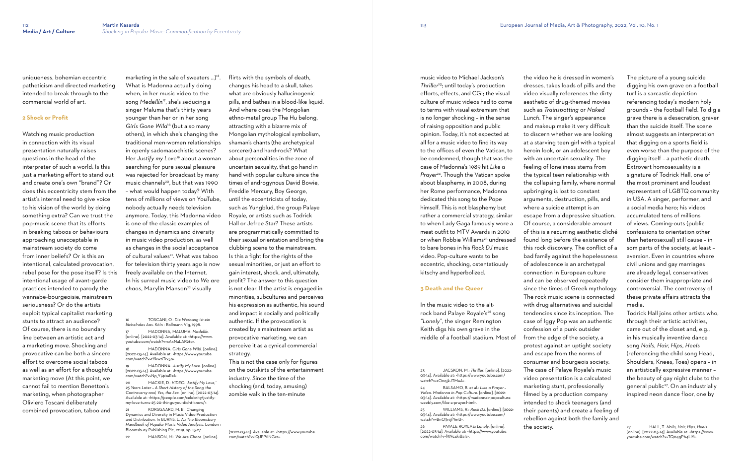uniqueness, bohemian eccentric patheticism and directed marketing intended to break through to the commercial world of art.

#### **2 Shock or Profit**

Watching music production in connection with its visual presentation naturally raises questions in the head of the interpreter of such a world: Is this just a marketing effort to stand out and create one's own "brand"? Or does this eccentricity stem from the artist's internal need to give voice to his vision of the world by doing something extra? Can we trust the pop-music scene that its efforts in breaking taboos or behaviours approaching unacceptable in mainstream society do come from inner beliefs? Or is this an intentional, calculated provocation, rebel pose for the pose itself? Is this intentional usage of avant-garde practices intended to parody the wannabe-bourgeoisie, mainstream seriousness? Or do the artists exploit typical capitalist marketing stunts to attract an audience? Of course, there is no boundary line between an artistic act and a marketing move. Shocking and provocative can be both a sincere effort to overcome social taboos as well as an effort for a thoughtful marketing move (At this point, we cannot fail to mention Benetton's marketing, when photographer Oliviero Toscani deliberately combined provocation, taboo and

marketing in the sale of sweaters ...) $^{\text{16}}$ . What is Madonna actually doing when, in her music video to the song *Medellín*<sup>17</sup>, she's seducing a singer Maluma that's thirty years younger than her or in her song *Girls Gone Wild*<sup>18</sup> (but also many others), in which she's changing the traditional men-women relationships in openly sadomasochistic scenes? Her *Justify my Love<sup>19</sup>* about a woman searching for pure sexual pleasure was rejected for broadcast by many music channels<sup>20</sup>, but that was 1990 – what would happen today? With tens of millions of views on YouTube, nobody actually needs television anymore. Today, this Madonna video is one of the classic examples of changes in dynamics and diversity in music video production, as well as changes in the social acceptance of cultural values<sup>21</sup>. What was taboo for television thirty years ago is now freely available on the Internet. In his surreal music video to *We are*  chaos, Marylin Manson<sup>22</sup> visually

KORSGAARD, M. B.: Changing Dynamics and Diversity in Music Video Production and Distribution. In BURNS, L. A.: *The Bloomsbury Handbook of Popular Music Video Analysis*. London : Bloomsbury Publishing Plc, 2019, pp. 13-27.

17 MADONNA, MALUMA: *Medellín.* [online]. [2022-03-14]. Available at: <https://www. youtube.com/watch?v=xAxNaLAR2to>. 18 MADONNA: *Girls Gone Wild*. [online].

[2022-03-14]. Available at: <https://www.youtube. com/watch?v=tYkwziTrv5o>.

19 MADONNA: *Justify My Love*. [online]. [2022-03-14]. Available at: <https://www.youtube. com/watch?v=Np\_Y740aReI>.

20 MACKIE, D.: *VIDEO: 'Justify My Love,' 25 Years Later – A Short History of the Song, the Controversy and, Yes, the Sex.* [online]. [2022-03-14]. Available at: <https://people.com/celebrity/justifymy-love-turns-25-20-things-you-didnt-know/>.

22 MANSON, M.: *We Are Chaos*. [online].

flirts with the symbols of death, changes his head to a skull, takes what are obviously hallucinogenic pills, and bathes in a blood-like liquid. And where does the Mongolian ethno-metal group The Hu belong, attracting with a bizarre mix of Mongolian mythological symbolism, shaman's chants (the archetypical sorcerer) and hard-rock? What about personalities in the zone of uncertain sexuality, that go hand in hand with popular culture since the times of androgynous David Bowie, Freddie Mercury, Boy George, until the eccentricists of today, such as Yungblud, the group Palaye Royale, or artists such as Todrick Hall or Jefree Star? These artists are programmatically committed to their sexual orientation and bring the clubbing scene to the mainstream. Is this a fight for the rights of the sexual minorities, or just an effort to gain interest, shock, and, ultimately, profit? The answer to this question is not clear. If the artist is engaged in minorities, subcultures and perceives his expression as authentic, his sound and impact is socially and politically authentic. If the provocation is created by a mainstream artist as provocative marketing, we can perceive it as a cynical commercial strategy.

This is not the case only for figures on the outskirts of the entertainment industry. Since the time of the shocking (and, today, amusing) zombie walk in the ten-minute

[2022-03-14]. Available at: <https://www.youtube. com/watch?v=lQJFP1INGxs>.

music video to Michael Jackson's *Thriller*<sup>23</sup>; until today's production efforts, effects, and CGI; the visual culture of music videos had to come to terms with visual extremism that is no longer shocking – in the sense of raising opposition and public opinion. Today, it's not expected at all for a music video to find its way to the offices of even the Vatican, to be condemned, though that was the case of Madonna's 1989 hit *Like a Prayer*<sup>24</sup>. Though the Vatican spoke about blasphemy, in 2008, during her Rome performance, Madonna dedicated this song to the Pope himself. This is not blasphemy but rather a commercial strategy, similar to when Lady Gaga famously wore a meat outfit to MTV Awards in 2010 or when Robbie Williams<sup>25</sup> undressed to bare bones in his *Rock DJ* music video. Pop-culture wants to be eccentric, shocking, ostentatiously kitschy and hyperbolized.

## **3 Death and the Queer**

In the music video to the altrock band Palaye Royale's<sup>26</sup> song *"Lonely"*, the singer Remington Keith digs his own grave in the middle of a football stadium. Most of

23 JACSKON, M.: *Thriller*. [online]. [2022- 03-14]. Available at: <https://www.youtube.com/ watch?v=sOnqjkJTMaA>.

24 BALSAMO, B. et al.: *Like a Prayer – Video*. *Madonna in Pop Culture*. [online]. [2022- 03-14]. Available at: <https://madonnainpopculture. weebly.com/like-a-prayer.html>.

25 WILLIAMS, R.: *Rock DJ*. [online]. [2022- 03-14]. Available at: <https://www.youtube.com/ watch?v=BnO3nijfYmU>.

26 PAYALE ROYLAE: *Lonely*. [online]. [2022-03-14]. Available at: <https://www.youtube. com/watch?v=f5Nc4kiBaIs>.

the video he is dressed in women's dresses, takes loads of pills and the video visually references the dirty aesthetic of drug-themed movies such as *Trainspotting* or *Naked Lunch*. The singer's appearance and makeup make it very difficult to discern whether we are looking at a starving teen girl with a typical heroin look, or an adolescent boy with an uncertain sexuality. The feeling of loneliness stems from the typical teen relationship with the collapsing family, where normal upbringing is lost to constant arguments, destruction, pills, and where a suicide attempt is an escape from a depressive situation. Of course, a considerable amount of this is a recurring aesthetic cliché found long before the existence of this rock discovery. The conflict of a bad family against the hopelessness of adolescence is an archetypal connection in European culture and can be observed repeatedly since the times of Greek mythology. The rock music scene is connected with drug alternatives and suicidal tendencies since its inception. The case of Iggy Pop was an authentic confession of a punk outsider from the edge of the society, a protest against an uptight society and escape from the norms of consumer and bourgeois society. The case of Palaye Royale's music video presentation is a calculated marketing stunt, professionally filmed by a production company intended to shock teenagers (and their parents) and create a feeling of rebellion against both the family and

the society.

The picture of a young suicide digging his own grave on a football turf is a sarcastic depiction referencing today's modern holy grounds – the football field. To dig a grave there is a desecration, graver than the suicide itself. The scene almost suggests an interpretation that digging on a sports field is even worse than the purpose of the digging itself – a pathetic death. Extrovert homosexuality is a signature of Todrick Hall, one of the most prominent and loudest representant of LGBTQ community in USA. A singer, performer, and a social media hero; his videos accumulated tens of millions of views. Coming-outs (public confessions to orientation other than heterosexual) still cause – in som parts of the society, at least – aversion. Even in countries where civil unions and gay marriages are already legal, conservatives consider them inappropriate and controversial. The controversy of these private affairs attracts the media.

Todrick Hall joins other artists who, through their artistic activities, came out of the closet and, e.g., in his musically inventive dance song *Nails, Hair, Hips, Heels* (referencing the child song Head, Shoulders, Knees, Toes) opens – in an artistically expressive manner – the beauty of gay night clubs to the general public 27 . On an industrially inspired neon dance floor, one by

<sup>16</sup> TOSCANI, O.: *Die Werbung ist ein lächelndes Aas.* Köln : Bollmann Vlg, 1998.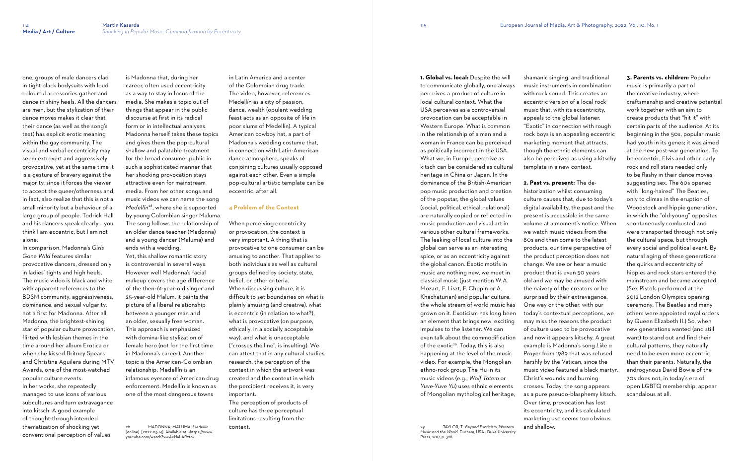one, groups of male dancers clad in tight black bodysuits with loud colourful accessories gather and dance in shiny heels. All the dancers are men, but the stylization of their dance moves makes it clear that their dance (as well as the song's text) has explicit erotic meaning within the gay community. The visual and verbal eccentricity may seem extrovert and aggressively provocative, yet at the same time it is a gesture of bravery against the majority, since it forces the viewer to accept the queer/otherness and, in fact, also realize that this is not a small minority but a behaviour of a large group of people. Todrick Hall and his dancers speak clearly – you think I am eccentric, but I am not alone.

In comparison, Madonna's *Girls Gone Wild* features similar provocative dancers, dressed only in ladies' tights and high heels. The music video is black and white with apparent references to the BDSM community, aggressiveness, dominance, and sexual vulgarity, not a first for Madonna. After all, Madonna, the brightest-shining star of popular culture provocation, flirted with lesbian themes in the time around her album Erotica or when she kissed Britney Spears and Christina Aguilera during MTV Awards, one of the most-watched popular culture events. In her works, she repeatedly managed to use icons of various subcultures and turn extravagance into kitsch. A good example of thought-through intended thematization of shocking yet conventional perception of values

is Madonna that, during her career, often used eccentricity as a way to stay in focus of the media. She makes a topic out of things that appear in the public discourse at first in its radical form or in intellectual analyses. Madonna herself takes these topics and gives them the pop-cultural shallow and palatable treatment for the broad consumer public in such a sophisticated manner that her shocking provocation stays attractive even for mainstream media. From her other songs and music videos we can name the song *Medellín*<sup>28</sup>, where she is supported by young Colombian singer Maluma. The song follows the relationship of an older dance teacher (Madonna) and a young dancer (Maluma) and ends with a wedding. Yet, this shallow romantic story

is controversial in several ways. However well Madonna's facial makeup covers the age difference of the then-61-year-old singer and 25-year-old Malum, it paints the picture of a liberal relationship between a younger man and an older, sexually free woman. This approach is emphasized with domina-like stylization of female hero (not for the first time in Madonna's career). Another topic is the American-Colombian relationship: Medellín is an infamous eyesore of American drug enforcement. Medellín is known as one of the most dangerous towns

28 MADONNA, MALUMA: *Medellín.*  [online]. [2022-03-14]. Available at: <https://www. youtube.com/watch?v=xAxNaLAR2to>.

in Latin America and a center of the Colombian drug trade. The video, however, references Medellín as a city of passion, dance, wealth (opulent wedding feast acts as an opposite of life in poor slums of Medellín). A typical American cowboy hat, a part of Madonna's wedding costume that, in connection with Latin-American dance atmosphere, speaks of conjoining cultures usually opposed against each other. Even a simple pop-cultural artistic template can be eccentric, after all.

#### **4 Problem of the Context**

When perceiving eccentricity or provocation, the context is very important. A thing that is provocative to one consumer can be amusing to another. That applies to both individuals as well as cultural groups defined by society, state, belief, or other criteria. When discussing culture, it is difficult to set boundaries on what is plainly amusing (and creative), what is eccentric (in relation to what?), what is provocative (on purpose, ethically, in a socially acceptable way), and what is unacceptable ("crosses the line", is insulting). We can attest that in any cultural studies research, the perception of the context in which the artwork was created and the context in which the percipient receives it, is very important.

The perception of products of culture has three perceptual limitations resulting from the context:

**1. Global vs. local:** Despite the will to communicate globally, one always perceives a product of culture in local cultural context. What the USA perceives as a controversial provocation can be acceptable in Western Europe. What is common in the relationship of a man and a woman in France can be perceived as politically incorrect in the USA. What we, in Europe, perceive as kitsch can be considered as cultural heritage in China or Japan. In the dominance of the British-American pop music production and creation of the popstar, the global values (social, political, ethical, relational) are naturally copied or reflected in music production and visual art in various other cultural frameworks. The leaking of local culture into the global can serve as an interesting spice, or as an eccentricity against the global canon. Exotic motifs in music are nothing new, we meet in classical music (just mention W.A. Mozart, F. Liszt, F. Chopin or A. Khachaturian) and popular culture, the whole stream of world music has grown on it. Exoticism has long been an element that brings new, exciting impulses to the listener. We can even talk about the commodification of the exotic<sup>29</sup>. Today, this is also happening at the level of the music video. For example, the Mongolian ethno-rock group The Hu in its music videos (e.g., *Wolf Totem* or *Yuve-Yuve Yu*) uses ethnic elements of Mongolian mythological heritage,

shamanic singing, and traditional music instruments in combination with rock sound. This creates an eccentric version of a local rock music that, with its eccentricity, appeals to the global listener. "Exotic" in connection with rough rock boys is an appealing eccentric marketing moment that attracts, though the ethnic elements can also be perceived as using a kitschy template in a new context.

**2. Past vs. present:** The dehistorization whilst consuming culture causes that, due to today's digital availability, the past and the present is accessible in the same volume at a moment's notice. When we watch music videos from the 80s and then come to the latest products, our time perspective of the product perception does not change. We see or hear a music product that is even 50 years old and we may be amused with the naivety of the creators or be surprised by their extravagance. One way or the other, with our today's contextual perceptions, we may miss the reasons the product of culture used to be provocative and now it appears kitschy. A great example is Madonna's song *Like a Prayer* from 1989 that was refused harshly by the Vatican, since the music video featured a black martyr, Christ's wounds and burning crosses. Today, the song appears as a pure pseudo-blasphemy kitsch. Over time, provocation has lost its eccentricity, and its calculated marketing use seems too obvious and shallow.

**3. Parents vs. children:** Popular music is primarily a part of the creative industry, where craftsmanship and creative potential work together with an aim to create products that "hit it" with certain parts of the audience. At its beginning in the 50s, popular music had youth in its genes; it was aimed at the new post-war generation. To be eccentric, Elvis and other early rock and roll stars needed only to be flashy in their dance moves suggesting sex. The 60s opened with "long-haired" The Beatles, only to climax in the eruption of Woodstock and hippie generation, in which the "old-young" opposites spontaneously combusted and were transported through not only the cultural space, but through every social and political event. By natural aging of these generations the quirks and eccentricity of hippies and rock stars entered the mainstream and became accepted. (Sex Pistols performed at the 2012 London Olympics opening ceremony, The Beatles and many others were appointed royal orders by Queen Elizabeth II.) So, when new generations wanted (and still want) to stand out and find their cultural patterns, they naturally need to be even more eccentric than their parents. Naturally, the androgynous David Bowie of the 70s does not, in today's era of open LGBTQ membership, appear scandalous at all.